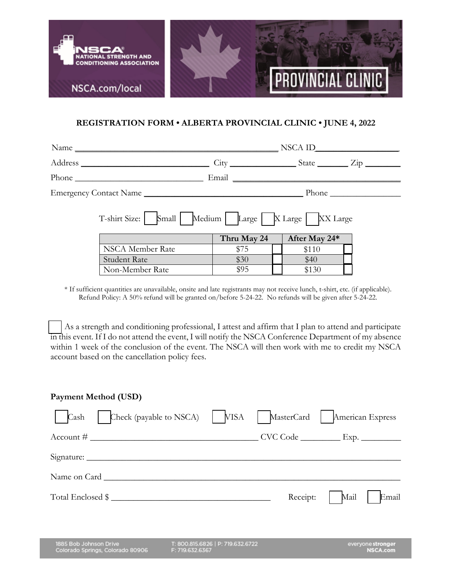

## **REGISTRATION FORM • ALBERTA PROVINCIAL CLINIC • JUNE 4, 2022**

| Name                                                        |             |  |               |  |  |  |
|-------------------------------------------------------------|-------------|--|---------------|--|--|--|
|                                                             |             |  |               |  |  |  |
|                                                             |             |  |               |  |  |  |
|                                                             |             |  |               |  |  |  |
| T-shirt Size:   Small   Medium   Large   X Large   XX Large |             |  |               |  |  |  |
|                                                             | Thru May 24 |  | After May 24* |  |  |  |
| NSCA Member Rate                                            | \$75        |  | \$110         |  |  |  |
| Student Rate                                                | \$30        |  | \$40          |  |  |  |
| Non-Member Rate                                             | \$95        |  | \$130         |  |  |  |

\* If sufficient quantities are unavailable, onsite and late registrants may not receive lunch, t-shirt, etc. (if applicable). Refund Policy: A 50% refund will be granted on/before 5-24-22. No refunds will be given after 5-24-22.

 As a strength and conditioning professional, I attest and affirm that I plan to attend and participate in this event. If I do not attend the event, I will notify the NSCA Conference Department of my absence within 1 week of the conclusion of the event. The NSCA will then work with me to credit my NSCA account based on the cancellation policy fees.

#### **Payment Method (USD)**

| Check (payable to NSCA)<br>Cash                            | VISA                                                 | MasterCard | American Express                     |
|------------------------------------------------------------|------------------------------------------------------|------------|--------------------------------------|
| $\text{Account #}$                                         |                                                      |            |                                      |
|                                                            |                                                      |            |                                      |
| Name on Card                                               |                                                      |            |                                      |
| Total Enclosed \$                                          |                                                      | Receipt:   | Email<br>Mail                        |
|                                                            |                                                      |            |                                      |
| 1885 Bob Johnson Drive<br>Colorado Springs, Colorado 80906 | T: 800.815.6826   P: 719.632.6722<br>F: 719.632.6367 |            | everyone stronger<br><b>NSCA.com</b> |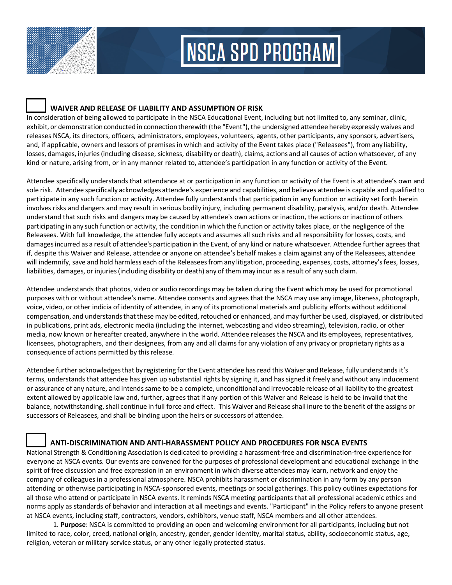

# **NSCA SPD PROGRAM**

### **WAIVER AND RELEASE OF LIABILITY AND ASSUMPTION OF RISK**

In consideration of being allowed to participate in the NSCA Educational Event, including but not limited to, any seminar, clinic, exhibit, or demonstration conducted in connection therewith (the "Event"), the undersigned attendee hereby expressly waives and releases NSCA, its directors, officers, administrators, employees, volunteers, agents, other participants, any sponsors, advertisers, and, if applicable, owners and lessors of premises in which and activity of the Event takes place ("Releasees"), fromany liability, losses, damages, injuries(including disease, sickness, disability or death), claims, actions and all causes of action whatsoever, of any kind or nature, arising from, or in any manner related to, attendee's participation in any function or activity of the Event.

Attendee specifically understands that attendance at or participation in any function or activity of the Event is at attendee's own and sole risk. Attendee specifically acknowledges attendee's experience and capabilities, and believes attendee is capable and qualified to participate in any such function or activity. Attendee fully understands that participation in any function or activity set forth herein involves risks and dangers and may result in serious bodily injury, including permanent disability, paralysis, and/or death. Attendee understand that such risks and dangers may be caused by attendee's own actions or inaction, the actions or inaction of others participating in any such function or activity, the condition in which the function or activity takes place, or the negligence of the Releasees. With full knowledge, the attendee fully accepts and assumes all such risks and all responsibility for losses, costs, and damagesincurred as a result of attendee's participationin the Event, of any kind or nature whatsoever. Attendee further agrees that if, despite this Waiver and Release, attendee or anyone on attendee's behalf makes a claim against any of the Releasees, attendee will indemnify, save and hold harmless each of the Releasees from any litigation, proceeding, expenses, costs, attorney's fees, losses, liabilities, damages, or injuries(including disability or death) any of them may incur as a result of any such claim.

Attendee understands that photos, video or audio recordings may be taken during the Event which may be used for promotional purposes with or without attendee's name. Attendee consents and agrees that the NSCA may use any image, likeness, photograph, voice, video, or other indicia of identity of attendee, in any of its promotional materials and publicity efforts without additional compensation, and understands that these may be edited, retouched or enhanced, and may further be used, displayed, or distributed in publications, print ads, electronic media (including the internet, webcasting and video streaming), television, radio, or other media, now known or hereafter created, anywhere in the world. Attendee releases the NSCA and its employees, representatives, licensees, photographers, and their designees, from any and all claims for any violation of any privacy or proprietary rights as a consequence of actions permitted by this release.

Attendee further acknowledgesthat by registering for the Event attendee hasread this Waiver and Release, fully understands it's terms, understands that attendee has given up substantial rights by signing it, and has signed it freely and without any inducement or assurance of any nature, and intendssame to be a complete, unconditional and irrevocable release of all liability to the greatest extent allowed by applicable law and, further, agrees that if any portion of this Waiver and Release is held to be invalid that the balance, notwithstanding, shall continue in full force and effect. This Waiver and Release shall inure to the benefit of the assigns or successors of Releasees, and shall be binding upon the heirs or successors of attendee.

### **ANTI-DISCRIMINATION AND ANTI-HARASSMENT POLICY AND PROCEDURES FOR NSCA EVENTS**

National Strength & Conditioning Association is dedicated to providing a harassment-free and discrimination-free experience for everyone at NSCA events. Our events are convened for the purposes of professional development and educational exchange in the spirit of free discussion and free expression in an environment in which diverse attendees may learn, network and enjoy the company of colleagues in a professional atmosphere. NSCA prohibits harassment or discrimination in any form by any person attending or otherwise participating in NSCA-sponsored events, meetings or social gatherings. This policy outlines expectations for all those who attend or participate in NSCA events. It reminds NSCA meeting participants that all professional academic ethics and norms apply as standards of behavior and interaction at all meetings and events. "Participant" in the Policy refers to anyone present at NSCA events, including staff, contractors, vendors, exhibitors, venue staff, NSCA members and all other attendees.

1. **Purpose**: NSCA is committed to providing an open and welcoming environment for all participants, including but not limited to race, color, creed, national origin, ancestry, gender, gender identity, marital status, ability, socioeconomic status, age, religion, veteran or military service status, or any other legally protected status.